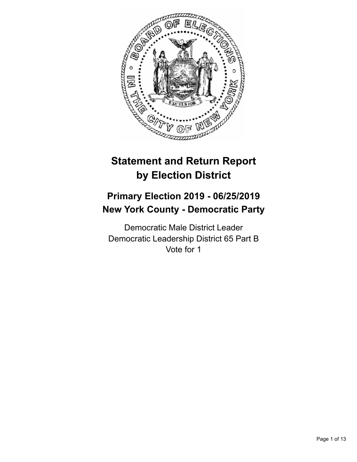

# **Statement and Return Report by Election District**

# **Primary Election 2019 - 06/25/2019 New York County - Democratic Party**

Democratic Male District Leader Democratic Leadership District 65 Part B Vote for 1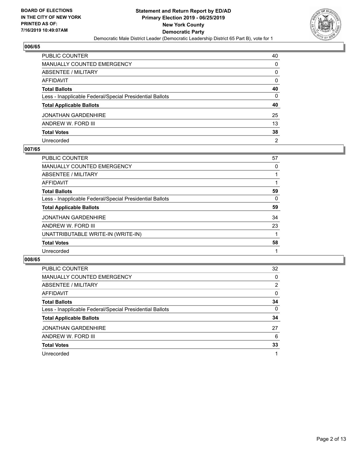

| PUBLIC COUNTER                                           | 40             |
|----------------------------------------------------------|----------------|
| <b>MANUALLY COUNTED EMERGENCY</b>                        | 0              |
| ABSENTEE / MILITARY                                      | 0              |
| AFFIDAVIT                                                | $\mathbf{0}$   |
| <b>Total Ballots</b>                                     | 40             |
| Less - Inapplicable Federal/Special Presidential Ballots | $\mathbf{0}$   |
| <b>Total Applicable Ballots</b>                          | 40             |
| JONATHAN GARDENHIRE                                      | 25             |
| ANDREW W. FORD III                                       | 13             |
| <b>Total Votes</b>                                       | 38             |
| Unrecorded                                               | $\overline{2}$ |

#### **007/65**

| PUBLIC COUNTER                                           | 57 |
|----------------------------------------------------------|----|
| <b>MANUALLY COUNTED EMERGENCY</b>                        | 0  |
| ABSENTEE / MILITARY                                      |    |
| AFFIDAVIT                                                |    |
| <b>Total Ballots</b>                                     | 59 |
| Less - Inapplicable Federal/Special Presidential Ballots | 0  |
| <b>Total Applicable Ballots</b>                          | 59 |
| <b>JONATHAN GARDENHIRE</b>                               | 34 |
| ANDREW W. FORD III                                       | 23 |
| UNATTRIBUTABLE WRITE-IN (WRITE-IN)                       |    |
| <b>Total Votes</b>                                       | 58 |
| Unrecorded                                               |    |

| PUBLIC COUNTER                                           | 32       |
|----------------------------------------------------------|----------|
| MANUALLY COUNTED EMERGENCY                               | 0        |
| ABSENTEE / MILITARY                                      | 2        |
| AFFIDAVIT                                                | $\Omega$ |
| <b>Total Ballots</b>                                     | 34       |
| Less - Inapplicable Federal/Special Presidential Ballots | $\Omega$ |
| <b>Total Applicable Ballots</b>                          | 34       |
| <b>JONATHAN GARDENHIRE</b>                               | 27       |
| ANDREW W. FORD III                                       | 6        |
| <b>Total Votes</b>                                       | 33       |
| Unrecorded                                               |          |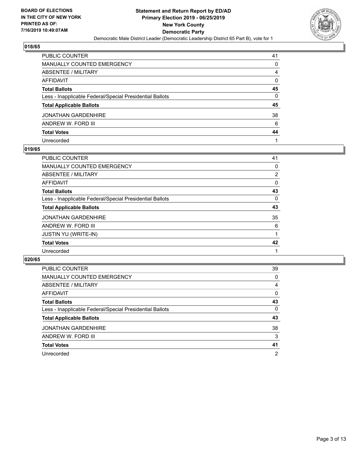

| PUBLIC COUNTER                                           | 41       |
|----------------------------------------------------------|----------|
| <b>MANUALLY COUNTED EMERGENCY</b>                        | 0        |
| <b>ABSENTEE / MILITARY</b>                               | 4        |
| <b>AFFIDAVIT</b>                                         | 0        |
| <b>Total Ballots</b>                                     | 45       |
| Less - Inapplicable Federal/Special Presidential Ballots | $\Omega$ |
| <b>Total Applicable Ballots</b>                          | 45       |
| <b>JONATHAN GARDENHIRE</b>                               | 38       |
| ANDREW W. FORD III                                       | 6        |
| <b>Total Votes</b>                                       | 44       |
| Unrecorded                                               |          |

### **019/65**

| <b>PUBLIC COUNTER</b>                                    | 41             |
|----------------------------------------------------------|----------------|
| <b>MANUALLY COUNTED EMERGENCY</b>                        | 0              |
| ABSENTEE / MILITARY                                      | $\overline{2}$ |
| AFFIDAVIT                                                | 0              |
| <b>Total Ballots</b>                                     | 43             |
| Less - Inapplicable Federal/Special Presidential Ballots | 0              |
| <b>Total Applicable Ballots</b>                          | 43             |
| <b>JONATHAN GARDENHIRE</b>                               | 35             |
| ANDREW W. FORD III                                       | 6              |
| <b>JUSTIN YU (WRITE-IN)</b>                              |                |
| <b>Total Votes</b>                                       | 42             |
| Unrecorded                                               |                |

| PUBLIC COUNTER                                           | 39             |
|----------------------------------------------------------|----------------|
| MANUALLY COUNTED EMERGENCY                               | 0              |
| ABSENTEE / MILITARY                                      | 4              |
| AFFIDAVIT                                                | $\Omega$       |
| <b>Total Ballots</b>                                     | 43             |
| Less - Inapplicable Federal/Special Presidential Ballots | $\Omega$       |
| <b>Total Applicable Ballots</b>                          | 43             |
| <b>JONATHAN GARDENHIRE</b>                               | 38             |
| ANDREW W. FORD III                                       | 3              |
| <b>Total Votes</b>                                       | 41             |
| Unrecorded                                               | $\overline{2}$ |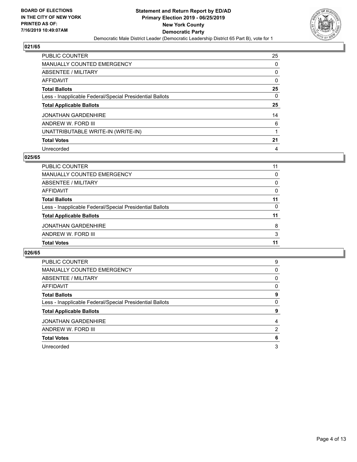

| <b>PUBLIC COUNTER</b>                                    | 25 |
|----------------------------------------------------------|----|
| <b>MANUALLY COUNTED EMERGENCY</b>                        | 0  |
| ABSENTEE / MILITARY                                      | 0  |
| AFFIDAVIT                                                | 0  |
| <b>Total Ballots</b>                                     | 25 |
| Less - Inapplicable Federal/Special Presidential Ballots | 0  |
| <b>Total Applicable Ballots</b>                          | 25 |
| <b>JONATHAN GARDENHIRE</b>                               | 14 |
| ANDREW W. FORD III                                       | 6  |
| UNATTRIBUTABLE WRITE-IN (WRITE-IN)                       |    |
| <b>Total Votes</b>                                       | 21 |
|                                                          |    |

#### **025/65**

| <b>JONATHAN GARDENHIRE</b><br>ANDREW W. FORD III         | 8        |
|----------------------------------------------------------|----------|
| <b>Total Applicable Ballots</b>                          | 11       |
| Less - Inapplicable Federal/Special Presidential Ballots | $\Omega$ |
| <b>Total Ballots</b>                                     | 11       |
| AFFIDAVIT                                                | $\Omega$ |
| ABSENTEE / MILITARY                                      | $\Omega$ |
| MANUALLY COUNTED EMERGENCY                               | $\Omega$ |
| <b>PUBLIC COUNTER</b>                                    | 11       |

| <b>PUBLIC COUNTER</b>                                    | 9 |
|----------------------------------------------------------|---|
| MANUALLY COUNTED EMERGENCY                               | 0 |
| ABSENTEE / MILITARY                                      | 0 |
| AFFIDAVIT                                                | 0 |
| <b>Total Ballots</b>                                     | 9 |
| Less - Inapplicable Federal/Special Presidential Ballots | 0 |
| <b>Total Applicable Ballots</b>                          | 9 |
| <b>JONATHAN GARDENHIRE</b>                               | 4 |
| ANDREW W. FORD III                                       | 2 |
| <b>Total Votes</b>                                       | 6 |
| Unrecorded                                               |   |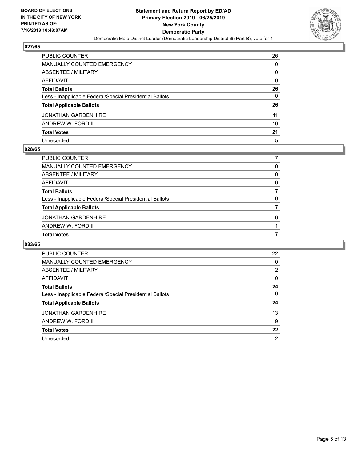

| PUBLIC COUNTER                                           | 26       |
|----------------------------------------------------------|----------|
| <b>MANUALLY COUNTED EMERGENCY</b>                        | 0        |
| <b>ABSENTEE / MILITARY</b>                               | 0        |
| AFFIDAVIT                                                | $\Omega$ |
| <b>Total Ballots</b>                                     | 26       |
| Less - Inapplicable Federal/Special Presidential Ballots | 0        |
| <b>Total Applicable Ballots</b>                          | 26       |
| <b>JONATHAN GARDENHIRE</b>                               | 11       |
| ANDREW W. FORD III                                       | 10       |
| <b>Total Votes</b>                                       | 21       |
| Unrecorded                                               | 5        |

#### **028/65**

| PUBLIC COUNTER                                           |   |
|----------------------------------------------------------|---|
|                                                          |   |
| <b>MANUALLY COUNTED EMERGENCY</b>                        | 0 |
| ABSENTEE / MILITARY                                      | 0 |
| AFFIDAVIT                                                | 0 |
| <b>Total Ballots</b>                                     |   |
| Less - Inapplicable Federal/Special Presidential Ballots | 0 |
| <b>Total Applicable Ballots</b>                          |   |
| <b>JONATHAN GARDENHIRE</b>                               | 6 |
| ANDREW W. FORD III                                       |   |
| <b>Total Votes</b>                                       |   |

| <b>PUBLIC COUNTER</b>                                    | 22       |
|----------------------------------------------------------|----------|
| <b>MANUALLY COUNTED EMERGENCY</b>                        | 0        |
| ABSENTEE / MILITARY                                      | 2        |
| AFFIDAVIT                                                | $\Omega$ |
| <b>Total Ballots</b>                                     | 24       |
| Less - Inapplicable Federal/Special Presidential Ballots | $\Omega$ |
| <b>Total Applicable Ballots</b>                          | 24       |
| <b>JONATHAN GARDENHIRE</b>                               | 13       |
| ANDREW W. FORD III                                       | 9        |
| <b>Total Votes</b>                                       | 22       |
| Unrecorded                                               | 2        |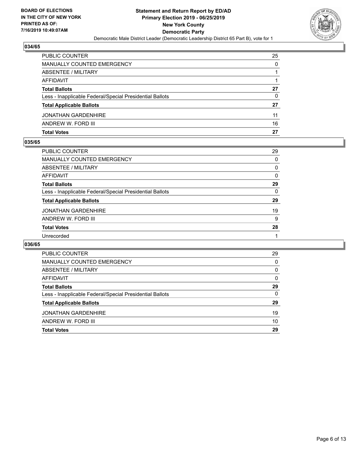

| <b>PUBLIC COUNTER</b>                                    | 25 |
|----------------------------------------------------------|----|
| MANUALLY COUNTED EMERGENCY                               | 0  |
| ABSENTEE / MILITARY                                      |    |
| AFFIDAVIT                                                |    |
| <b>Total Ballots</b>                                     | 27 |
| Less - Inapplicable Federal/Special Presidential Ballots | 0  |
| <b>Total Applicable Ballots</b>                          | 27 |
| <b>JONATHAN GARDENHIRE</b>                               | 11 |
| ANDREW W. FORD III                                       | 16 |
| <b>Total Votes</b>                                       | 27 |

#### **035/65**

| PUBLIC COUNTER                                           | 29       |
|----------------------------------------------------------|----------|
| <b>MANUALLY COUNTED EMERGENCY</b>                        | $\Omega$ |
| <b>ABSENTEE / MILITARY</b>                               | 0        |
| <b>AFFIDAVIT</b>                                         | 0        |
| <b>Total Ballots</b>                                     | 29       |
| Less - Inapplicable Federal/Special Presidential Ballots | $\Omega$ |
| <b>Total Applicable Ballots</b>                          | 29       |
| <b>JONATHAN GARDENHIRE</b>                               | 19       |
| ANDREW W. FORD III                                       | 9        |
| <b>Total Votes</b>                                       | 28       |
| Unrecorded                                               |          |
|                                                          |          |

| <b>PUBLIC COUNTER</b>                                    | 29       |
|----------------------------------------------------------|----------|
| MANUALLY COUNTED EMERGENCY                               | $\Omega$ |
| ABSENTEE / MILITARY                                      | 0        |
| AFFIDAVIT                                                | $\Omega$ |
| <b>Total Ballots</b>                                     | 29       |
| Less - Inapplicable Federal/Special Presidential Ballots | 0        |
| <b>Total Applicable Ballots</b>                          | 29       |
| <b>JONATHAN GARDENHIRE</b>                               | 19       |
| ANDREW W. FORD III                                       | 10       |
| <b>Total Votes</b>                                       | 29       |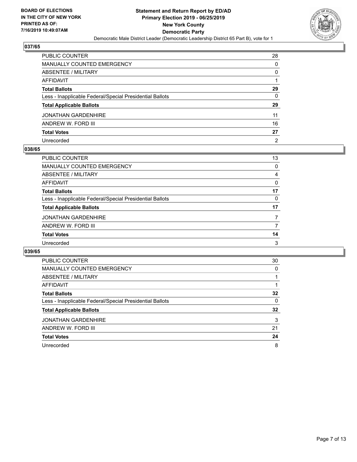

| PUBLIC COUNTER                                           | 28             |
|----------------------------------------------------------|----------------|
| <b>MANUALLY COUNTED EMERGENCY</b>                        | 0              |
| <b>ABSENTEE / MILITARY</b>                               | 0              |
| <b>AFFIDAVIT</b>                                         |                |
| <b>Total Ballots</b>                                     | 29             |
| Less - Inapplicable Federal/Special Presidential Ballots | $\mathbf{0}$   |
| <b>Total Applicable Ballots</b>                          | 29             |
| <b>JONATHAN GARDENHIRE</b>                               | 11             |
| ANDREW W. FORD III                                       | 16             |
| <b>Total Votes</b>                                       | 27             |
| Unrecorded                                               | $\overline{2}$ |

#### **038/65**

| <b>PUBLIC COUNTER</b>                                    | 13       |
|----------------------------------------------------------|----------|
| <b>MANUALLY COUNTED EMERGENCY</b>                        | 0        |
| ABSENTEE / MILITARY                                      | 4        |
| AFFIDAVIT                                                | $\Omega$ |
| <b>Total Ballots</b>                                     | 17       |
| Less - Inapplicable Federal/Special Presidential Ballots | 0        |
| <b>Total Applicable Ballots</b>                          | 17       |
| <b>JONATHAN GARDENHIRE</b>                               |          |
| ANDREW W. FORD III                                       | 7        |
| <b>Total Votes</b>                                       | 14       |
| Unrecorded                                               | 3        |

| <b>PUBLIC COUNTER</b>                                    | 30       |
|----------------------------------------------------------|----------|
| <b>MANUALLY COUNTED EMERGENCY</b>                        | $\Omega$ |
| ABSENTEE / MILITARY                                      |          |
| AFFIDAVIT                                                |          |
| <b>Total Ballots</b>                                     | 32       |
| Less - Inapplicable Federal/Special Presidential Ballots | $\Omega$ |
| <b>Total Applicable Ballots</b>                          | 32       |
| <b>JONATHAN GARDENHIRE</b>                               | 3        |
| ANDREW W. FORD III                                       | 21       |
| <b>Total Votes</b>                                       | 24       |
| Unrecorded                                               | 8        |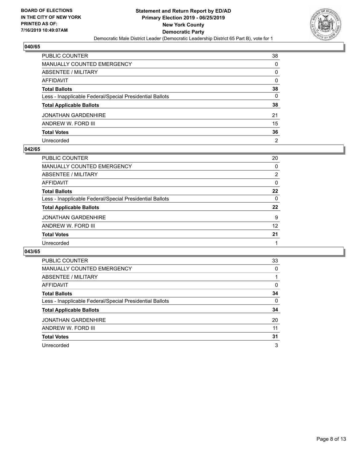

| PUBLIC COUNTER                                           | 38             |
|----------------------------------------------------------|----------------|
| <b>MANUALLY COUNTED EMERGENCY</b>                        | $\Omega$       |
| <b>ABSENTEE / MILITARY</b>                               | 0              |
| <b>AFFIDAVIT</b>                                         | $\Omega$       |
| <b>Total Ballots</b>                                     | 38             |
| Less - Inapplicable Federal/Special Presidential Ballots | $\mathbf{0}$   |
| <b>Total Applicable Ballots</b>                          | 38             |
| <b>JONATHAN GARDENHIRE</b>                               | 21             |
| ANDREW W. FORD III                                       | 15             |
| <b>Total Votes</b>                                       | 36             |
| Unrecorded                                               | $\overline{2}$ |

#### **042/65**

| PUBLIC COUNTER                                           | 20       |
|----------------------------------------------------------|----------|
| MANUALLY COUNTED EMERGENCY                               | $\Omega$ |
| ABSENTEE / MILITARY                                      | 2        |
| AFFIDAVIT                                                | $\Omega$ |
| <b>Total Ballots</b>                                     | 22       |
| Less - Inapplicable Federal/Special Presidential Ballots | $\Omega$ |
| <b>Total Applicable Ballots</b>                          | 22       |
| <b>JONATHAN GARDENHIRE</b>                               | 9        |
| ANDREW W. FORD III                                       | 12       |
| <b>Total Votes</b>                                       | 21       |
| Unrecorded                                               |          |

| <b>PUBLIC COUNTER</b>                                    | 33       |
|----------------------------------------------------------|----------|
| MANUALLY COUNTED EMERGENCY                               | 0        |
| ABSENTEE / MILITARY                                      |          |
| AFFIDAVIT                                                | 0        |
| <b>Total Ballots</b>                                     | 34       |
| Less - Inapplicable Federal/Special Presidential Ballots | $\Omega$ |
| <b>Total Applicable Ballots</b>                          | 34       |
| <b>JONATHAN GARDENHIRE</b>                               | 20       |
| ANDREW W. FORD III                                       | 11       |
| <b>Total Votes</b>                                       | 31       |
| Unrecorded                                               | 3        |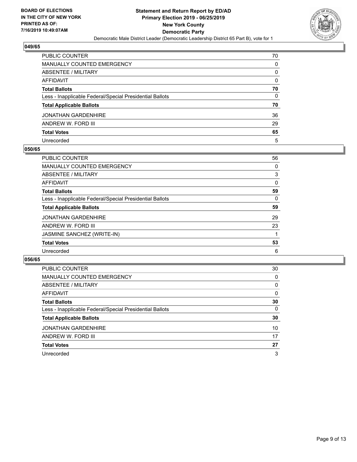

| PUBLIC COUNTER                                           | 70           |
|----------------------------------------------------------|--------------|
| <b>MANUALLY COUNTED EMERGENCY</b>                        | 0            |
| <b>ABSENTEE / MILITARY</b>                               | 0            |
| <b>AFFIDAVIT</b>                                         | $\Omega$     |
| <b>Total Ballots</b>                                     | 70           |
| Less - Inapplicable Federal/Special Presidential Ballots | $\mathbf{0}$ |
| <b>Total Applicable Ballots</b>                          | 70           |
| <b>JONATHAN GARDENHIRE</b>                               | 36           |
| ANDREW W. FORD III                                       | 29           |
| <b>Total Votes</b>                                       | 65           |
| Unrecorded                                               | 5            |

#### **050/65**

| <b>PUBLIC COUNTER</b>                                    | 56       |
|----------------------------------------------------------|----------|
| <b>MANUALLY COUNTED EMERGENCY</b>                        | $\Omega$ |
| ABSENTEE / MILITARY                                      | 3        |
| AFFIDAVIT                                                | $\Omega$ |
| <b>Total Ballots</b>                                     | 59       |
| Less - Inapplicable Federal/Special Presidential Ballots | 0        |
| <b>Total Applicable Ballots</b>                          | 59       |
| <b>JONATHAN GARDENHIRE</b>                               | 29       |
| ANDREW W. FORD III                                       | 23       |
| JASMINE SANCHEZ (WRITE-IN)                               |          |
| <b>Total Votes</b>                                       | 53       |
| Unrecorded                                               | 6        |

| <b>PUBLIC COUNTER</b>                                    | 30       |
|----------------------------------------------------------|----------|
| MANUALLY COUNTED EMERGENCY                               | $\Omega$ |
| ABSENTEE / MILITARY                                      | $\Omega$ |
| AFFIDAVIT                                                | $\Omega$ |
| <b>Total Ballots</b>                                     | 30       |
| Less - Inapplicable Federal/Special Presidential Ballots | 0        |
| <b>Total Applicable Ballots</b>                          | 30       |
| <b>JONATHAN GARDENHIRE</b>                               | 10       |
| ANDREW W. FORD III                                       | 17       |
| <b>Total Votes</b>                                       | 27       |
| Unrecorded                                               | 3        |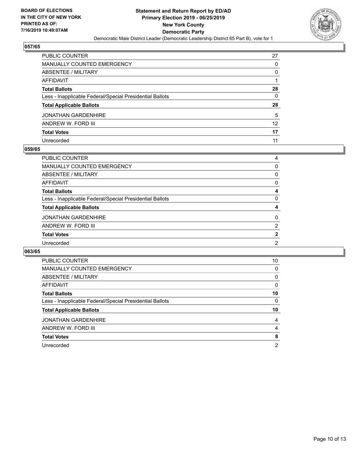

| PUBLIC COUNTER                                           | 27       |
|----------------------------------------------------------|----------|
| <b>MANUALLY COUNTED EMERGENCY</b>                        | 0        |
| <b>ABSENTEE / MILITARY</b>                               | 0        |
| <b>AFFIDAVIT</b>                                         |          |
| <b>Total Ballots</b>                                     | 28       |
| Less - Inapplicable Federal/Special Presidential Ballots | $\Omega$ |
| <b>Total Applicable Ballots</b>                          | 28       |
| <b>JONATHAN GARDENHIRE</b>                               | 5        |
| ANDREW W. FORD III                                       | 12       |
| <b>Total Votes</b>                                       | 17       |
| Unrecorded                                               | 11       |

#### **059/65**

| <b>PUBLIC COUNTER</b>                                    | 4              |
|----------------------------------------------------------|----------------|
| MANUALLY COUNTED EMERGENCY                               | $\Omega$       |
| <b>ABSENTEE / MILITARY</b>                               | $\Omega$       |
| AFFIDAVIT                                                | $\Omega$       |
| <b>Total Ballots</b>                                     | 4              |
| Less - Inapplicable Federal/Special Presidential Ballots | $\Omega$       |
| <b>Total Applicable Ballots</b>                          | 4              |
| <b>JONATHAN GARDENHIRE</b>                               | $\Omega$       |
| ANDREW W. FORD III                                       | $\overline{2}$ |
| <b>Total Votes</b>                                       | $\mathbf{2}$   |
| Unrecorded                                               | 2              |
|                                                          |                |

| <b>PUBLIC COUNTER</b>                                    | 10       |
|----------------------------------------------------------|----------|
| <b>MANUALLY COUNTED EMERGENCY</b>                        | 0        |
| ABSENTEE / MILITARY                                      | $\Omega$ |
| <b>AFFIDAVIT</b>                                         | $\Omega$ |
| <b>Total Ballots</b>                                     | 10       |
| Less - Inapplicable Federal/Special Presidential Ballots | 0        |
| <b>Total Applicable Ballots</b>                          | 10       |
| <b>JONATHAN GARDENHIRE</b>                               | 4        |
| ANDREW W. FORD III                                       | 4        |
| <b>Total Votes</b>                                       | 8        |
| Unrecorded                                               |          |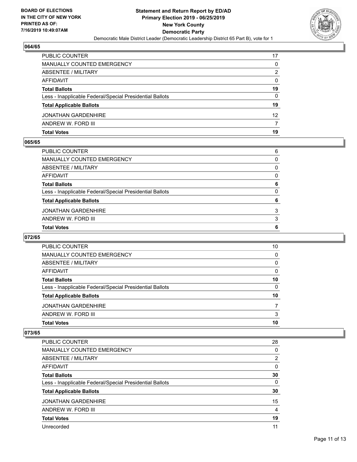

| <b>PUBLIC COUNTER</b>                                    | 17 |
|----------------------------------------------------------|----|
| <b>MANUALLY COUNTED EMERGENCY</b>                        | 0  |
| <b>ABSENTEE / MILITARY</b>                               | 2  |
| AFFIDAVIT                                                | 0  |
| <b>Total Ballots</b>                                     | 19 |
| Less - Inapplicable Federal/Special Presidential Ballots | 0  |
| <b>Total Applicable Ballots</b>                          | 19 |
| <b>JONATHAN GARDENHIRE</b>                               | 12 |
| ANDREW W. FORD III                                       |    |
| <b>Total Votes</b>                                       | 19 |

#### **065/65**

| PUBLIC COUNTER                                           | 6            |
|----------------------------------------------------------|--------------|
| MANUALLY COUNTED EMERGENCY                               | $\mathbf{0}$ |
| ABSENTEE / MILITARY                                      | $\mathbf{0}$ |
| AFFIDAVIT                                                | $\mathbf{0}$ |
| Total Ballots                                            | 6            |
| Less - Inapplicable Federal/Special Presidential Ballots | $\Omega$     |
| <b>Total Applicable Ballots</b>                          | 6            |
| JONATHAN GARDENHIRE                                      | 3            |
| ANDREW W. FORD III                                       | 3            |
| <b>Total Votes</b>                                       | 6            |
|                                                          |              |

# **072/65**

| <b>PUBLIC COUNTER</b>                                    | 10       |
|----------------------------------------------------------|----------|
| MANUALLY COUNTED EMERGENCY                               | 0        |
| ABSENTEE / MILITARY                                      | $\Omega$ |
| AFFIDAVIT                                                | $\Omega$ |
| <b>Total Ballots</b>                                     | 10       |
| Less - Inapplicable Federal/Special Presidential Ballots | 0        |
| <b>Total Applicable Ballots</b>                          | 10       |
| <b>JONATHAN GARDENHIRE</b>                               |          |
| ANDREW W. FORD III                                       | 3        |
| <b>Total Votes</b>                                       | 10       |

| <b>PUBLIC COUNTER</b>                                    | 28             |
|----------------------------------------------------------|----------------|
| <b>MANUALLY COUNTED EMERGENCY</b>                        | 0              |
| ABSENTEE / MILITARY                                      | $\overline{2}$ |
| <b>AFFIDAVIT</b>                                         | 0              |
| <b>Total Ballots</b>                                     | 30             |
| Less - Inapplicable Federal/Special Presidential Ballots | 0              |
| <b>Total Applicable Ballots</b>                          | 30             |
| <b>JONATHAN GARDENHIRE</b>                               | 15             |
| ANDREW W. FORD III                                       | 4              |
| <b>Total Votes</b>                                       | 19             |
| Unrecorded                                               | 11             |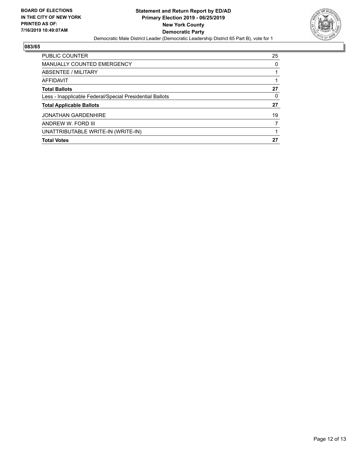

| <b>PUBLIC COUNTER</b>                                    | 25       |
|----------------------------------------------------------|----------|
| <b>MANUALLY COUNTED EMERGENCY</b>                        | $\Omega$ |
| ABSENTEE / MILITARY                                      |          |
| AFFIDAVIT                                                |          |
| <b>Total Ballots</b>                                     | 27       |
| Less - Inapplicable Federal/Special Presidential Ballots | 0        |
| <b>Total Applicable Ballots</b>                          | 27       |
| <b>JONATHAN GARDENHIRE</b>                               | 19       |
| ANDREW W. FORD III                                       | 7        |
| UNATTRIBUTABLE WRITE-IN (WRITE-IN)                       |          |
| <b>Total Votes</b>                                       | 27       |